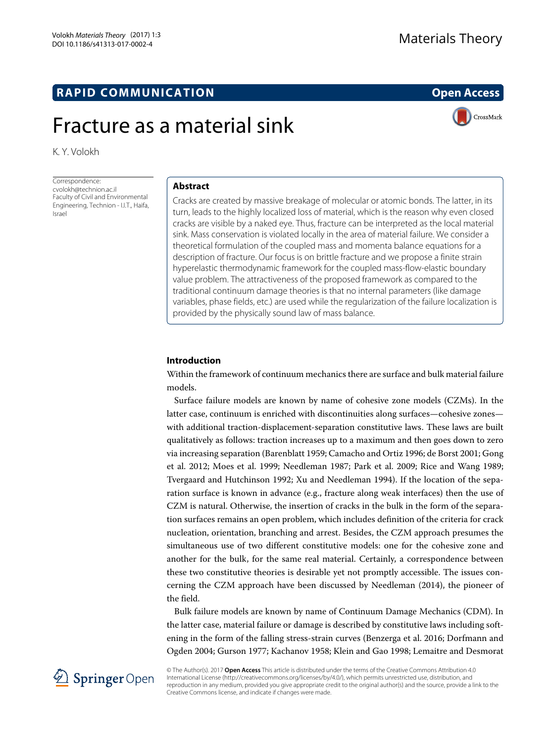**RAPID COMMUNICATION COMMUNICATION** 

# Fracture as a material sink

CrossMark

K. Y. Volokh

Correspondence: [cvolokh@technion.ac.il](mailto: cvolokh@technion.ac.il) Faculty of Civil and Environmental Engineering, Technion - I.I.T., Haifa, Israel

# **Abstract**

Cracks are created by massive breakage of molecular or atomic bonds. The latter, in its turn, leads to the highly localized loss of material, which is the reason why even closed cracks are visible by a naked eye. Thus, fracture can be interpreted as the local material sink. Mass conservation is violated locally in the area of material failure. We consider a theoretical formulation of the coupled mass and momenta balance equations for a description of fracture. Our focus is on brittle fracture and we propose a finite strain hyperelastic thermodynamic framework for the coupled mass-flow-elastic boundary value problem. The attractiveness of the proposed framework as compared to the traditional continuum damage theories is that no internal parameters (like damage variables, phase fields, etc.) are used while the regularization of the failure localization is provided by the physically sound law of mass balance.

## **Introduction**

Within the framework of continuum mechanics there are surface and bulk material failure models.

Surface failure models are known by name of cohesive zone models (CZMs). In the latter case, continuum is enriched with discontinuities along surfaces—cohesive zones with additional traction-displacement-separation constitutive laws. These laws are built qualitatively as follows: traction increases up to a maximum and then goes down to zero via increasing separation (Barenblatt [1959;](#page-7-0) Camacho and Ortiz [1996;](#page-7-1) de Borst [2001;](#page-7-2) Gong et al. [2012;](#page-7-3) Moes et al. [1999;](#page-7-4) Needleman [1987;](#page-7-5) Park et al. [2009;](#page-8-0) Rice and Wang [1989;](#page-8-1) Tvergaard and Hutchinson [1992;](#page-8-2) Xu and Needleman [1994\)](#page-8-3). If the location of the separation surface is known in advance (e.g., fracture along weak interfaces) then the use of CZM is natural. Otherwise, the insertion of cracks in the bulk in the form of the separation surfaces remains an open problem, which includes definition of the criteria for crack nucleation, orientation, branching and arrest. Besides, the CZM approach presumes the simultaneous use of two different constitutive models: one for the cohesive zone and another for the bulk, for the same real material. Certainly, a correspondence between these two constitutive theories is desirable yet not promptly accessible. The issues concerning the CZM approach have been discussed by Needleman [\(2014\)](#page-7-6), the pioneer of the field.

Bulk failure models are known by name of Continuum Damage Mechanics (CDM). In the latter case, material failure or damage is described by constitutive laws including softening in the form of the falling stress-strain curves (Benzerga et al. [2016;](#page-7-7) Dorfmann and Ogden [2004;](#page-7-8) Gurson [1977;](#page-7-9) Kachanov [1958;](#page-7-10) Klein and Gao [1998;](#page-7-11) Lemaitre and Desmorat



© The Author(s). 2017 **Open Access** This article is distributed under the terms of the Creative Commons Attribution 4.0 International License [\(http://creativecommons.org/licenses/by/4.0/\)](http://creativecommons.org/licenses/by/4.0/), which permits unrestricted use, distribution, and reproduction in any medium, provided you give appropriate credit to the original author(s) and the source, provide a link to the Creative Commons license, and indicate if changes were made.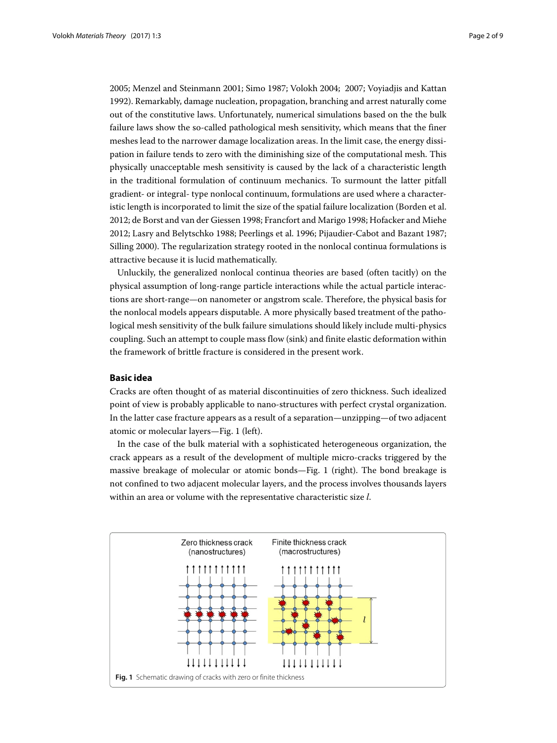[2005;](#page-7-12) Menzel and Steinmann [2001;](#page-7-13) Simo [1987;](#page-8-4) Volokh [2004;](#page-8-5) [2007;](#page-8-6) Voyiadjis and Kattan [1992\)](#page-8-7). Remarkably, damage nucleation, propagation, branching and arrest naturally come out of the constitutive laws. Unfortunately, numerical simulations based on the the bulk failure laws show the so-called pathological mesh sensitivity, which means that the finer meshes lead to the narrower damage localization areas. In the limit case, the energy dissipation in failure tends to zero with the diminishing size of the computational mesh. This physically unacceptable mesh sensitivity is caused by the lack of a characteristic length in the traditional formulation of continuum mechanics. To surmount the latter pitfall gradient- or integral- type nonlocal continuum, formulations are used where a characteristic length is incorporated to limit the size of the spatial failure localization (Borden et al. [2012;](#page-7-14) de Borst and van der Giessen [1998;](#page-7-15) Francfort and Marigo [1998;](#page-7-16) Hofacker and Miehe [2012;](#page-7-17) Lasry and Belytschko [1988;](#page-7-18) Peerlings et al. [1996;](#page-8-8) Pijaudier-Cabot and Bazant [1987;](#page-8-9) Silling [2000\)](#page-8-10). The regularization strategy rooted in the nonlocal continua formulations is attractive because it is lucid mathematically.

Unluckily, the generalized nonlocal continua theories are based (often tacitly) on the physical assumption of long-range particle interactions while the actual particle interactions are short-range—on nanometer or angstrom scale. Therefore, the physical basis for the nonlocal models appears disputable. A more physically based treatment of the pathological mesh sensitivity of the bulk failure simulations should likely include multi-physics coupling. Such an attempt to couple mass flow (sink) and finite elastic deformation within the framework of brittle fracture is considered in the present work.

#### **Basic idea**

Cracks are often thought of as material discontinuities of zero thickness. Such idealized point of view is probably applicable to nano-structures with perfect crystal organization. In the latter case fracture appears as a result of a separation—unzipping—of two adjacent atomic or molecular layers—Fig. [1](#page-1-0) (left).

In the case of the bulk material with a sophisticated heterogeneous organization, the crack appears as a result of the development of multiple micro-cracks triggered by the massive breakage of molecular or atomic bonds—Fig. [1](#page-1-0) (right). The bond breakage is not confined to two adjacent molecular layers, and the process involves thousands layers within an area or volume with the representative characteristic size *l*.

<span id="page-1-0"></span>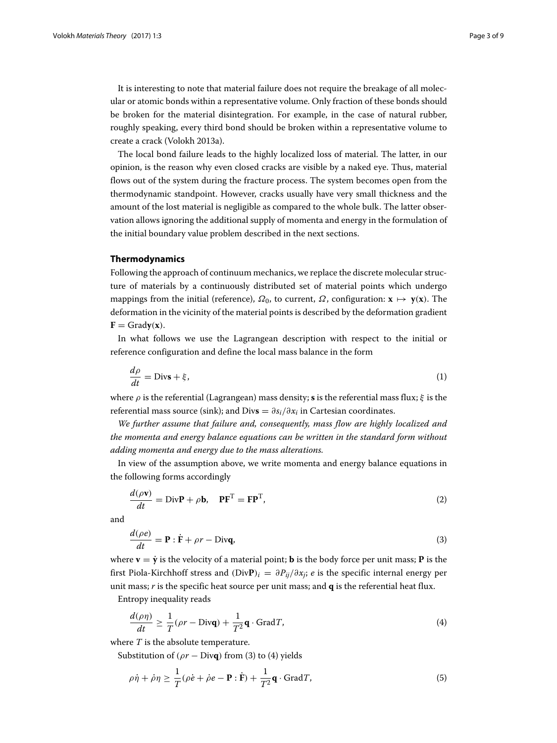It is interesting to note that material failure does not require the breakage of all molecular or atomic bonds within a representative volume. Only fraction of these bonds should be broken for the material disintegration. For example, in the case of natural rubber, roughly speaking, every third bond should be broken within a representative volume to create a crack (Volokh [2013a\)](#page-8-11).

The local bond failure leads to the highly localized loss of material. The latter, in our opinion, is the reason why even closed cracks are visible by a naked eye. Thus, material flows out of the system during the fracture process. The system becomes open from the thermodynamic standpoint. However, cracks usually have very small thickness and the amount of the lost material is negligible as compared to the whole bulk. The latter observation allows ignoring the additional supply of momenta and energy in the formulation of the initial boundary value problem described in the next sections.

#### **Thermodynamics**

Following the approach of continuum mechanics, we replace the discrete molecular structure of materials by a continuously distributed set of material points which undergo mappings from the initial (reference),  $\Omega_0$ , to current,  $\Omega$ , configuration:  $\mathbf{x} \mapsto \mathbf{y}(\mathbf{x})$ . The deformation in the vicinity of the material points is described by the deformation gradient  $\mathbf{F} = \text{Grad}\mathbf{v}(\mathbf{x}).$ 

In what follows we use the Lagrangean description with respect to the initial or reference configuration and define the local mass balance in the form

<span id="page-2-2"></span>
$$
\frac{d\rho}{dt} = \text{Divs} + \xi,\tag{1}
$$

where ρ is the referential (Lagrangean) mass density; **s** is the referential mass flux; ξ is the referential mass source (sink); and Div**s** = ∂*si*/∂*xi* in Cartesian coordinates.

*We further assume that failure and, consequently, mass flow are highly localized and the momenta and energy balance equations can be written in the standard form without adding momenta and energy due to the mass alterations.*

In view of the assumption above, we write momenta and energy balance equations in the following forms accordingly

$$
\frac{d(\rho \mathbf{v})}{dt} = \text{Div}\mathbf{P} + \rho \mathbf{b}, \quad \mathbf{P} \mathbf{F}^{\mathrm{T}} = \mathbf{F} \mathbf{P}^{\mathrm{T}}, \tag{2}
$$

<span id="page-2-0"></span>and

$$
\frac{d(\rho e)}{dt} = \mathbf{P} : \dot{\mathbf{F}} + \rho r - \text{Div}\mathbf{q},\tag{3}
$$

where  $\mathbf{v} = \dot{\mathbf{y}}$  is the velocity of a material point; **b** is the body force per unit mass; **P** is the first Piola-Kirchhoff stress and (Div**P**)*<sup>i</sup>* = ∂*Pij*/∂*xj*; *e* is the specific internal energy per unit mass; *r* is the specific heat source per unit mass; and **q** is the referential heat flux.

Entropy inequality reads

<span id="page-2-1"></span>
$$
\frac{d(\rho\eta)}{dt} \ge \frac{1}{T}(\rho r - \text{Div}\mathbf{q}) + \frac{1}{T^2}\mathbf{q} \cdot \text{Grad}T,\tag{4}
$$

where *T* is the absolute temperature.

Substitution of ( $\rho r - \text{Div}\mathbf{q}$ ) from [\(3\)](#page-2-0) to [\(4\)](#page-2-1) yields

$$
\rho \dot{\eta} + \dot{\rho} \eta \ge \frac{1}{T} (\rho \dot{e} + \dot{\rho} e - \mathbf{P} : \dot{\mathbf{F}}) + \frac{1}{T^2} \mathbf{q} \cdot \text{Grad} T,\tag{5}
$$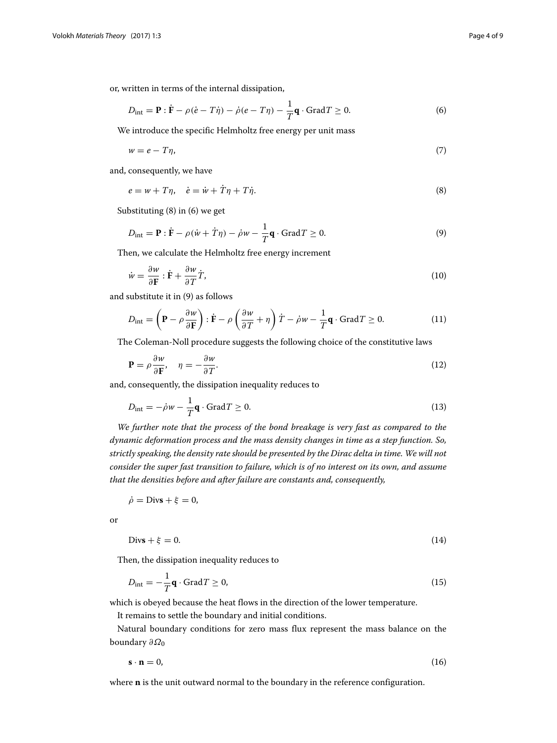or, written in terms of the internal dissipation,

<span id="page-3-1"></span>
$$
D_{\text{int}} = \mathbf{P} : \dot{\mathbf{F}} - \rho(\dot{e} - T\dot{\eta}) - \dot{\rho}(e - T\eta) - \frac{1}{T}\mathbf{q} \cdot \text{Grad}T \ge 0. \tag{6}
$$

We introduce the specific Helmholtz free energy per unit mass

<span id="page-3-0"></span>
$$
w = e - T\eta,\tag{7}
$$

and, consequently, we have

<span id="page-3-2"></span>
$$
e = w + T\eta, \quad \dot{e} = \dot{w} + T\eta + T\dot{\eta}.\tag{8}
$$

Substituting [\(8\)](#page-3-0) in [\(6\)](#page-3-1) we get

$$
D_{\text{int}} = \mathbf{P} : \dot{\mathbf{F}} - \rho(\dot{w} + \dot{T}\eta) - \dot{\rho}w - \frac{1}{T}\mathbf{q} \cdot \text{Grad}T \ge 0.
$$
 (9)

Then, we calculate the Helmholtz free energy increment

$$
\dot{\mathbf{w}} = \frac{\partial \mathbf{w}}{\partial \mathbf{F}} : \dot{\mathbf{F}} + \frac{\partial \mathbf{w}}{\partial T} \dot{T},\tag{10}
$$

and substitute it in [\(9\)](#page-3-2) as follows

$$
D_{\rm int} = \left(\mathbf{P} - \rho \frac{\partial w}{\partial \mathbf{F}}\right) : \dot{\mathbf{F}} - \rho \left(\frac{\partial w}{\partial T} + \eta\right) \dot{T} - \dot{\rho} w - \frac{1}{T} \mathbf{q} \cdot \text{Grad} T \ge 0. \tag{11}
$$

The Coleman-Noll procedure suggests the following choice of the constitutive laws

$$
\mathbf{P} = \rho \frac{\partial w}{\partial \mathbf{F}}, \quad \eta = -\frac{\partial w}{\partial T}.
$$
 (12)

and, consequently, the dissipation inequality reduces to

$$
D_{\text{int}} = -\dot{\rho}w - \frac{1}{T}\mathbf{q} \cdot \text{Grad}T \ge 0. \tag{13}
$$

*We further note that the process of the bond breakage is very fast as compared to the dynamic deformation process and the mass density changes in time as a step function. So, strictly speaking, the density rate should be presented by the Dirac delta in time. We will not consider the super fast transition to failure, which is of no interest on its own, and assume that the densities before and after failure are constants and, consequently,*

$$
\dot{\rho} = \text{Divs} + \xi = 0,
$$

<span id="page-3-3"></span>or

$$
Divs + \xi = 0. \tag{14}
$$

Then, the dissipation inequality reduces to

$$
D_{\rm int} = -\frac{1}{T}\mathbf{q} \cdot \text{Grad} T \ge 0,\tag{15}
$$

which is obeyed because the heat flows in the direction of the lower temperature.

It remains to settle the boundary and initial conditions.

Natural boundary conditions for zero mass flux represent the mass balance on the boundary ∂Ω<sub>0</sub>

<span id="page-3-4"></span>
$$
\mathbf{s} \cdot \mathbf{n} = 0,\tag{16}
$$

where **n** is the unit outward normal to the boundary in the reference configuration.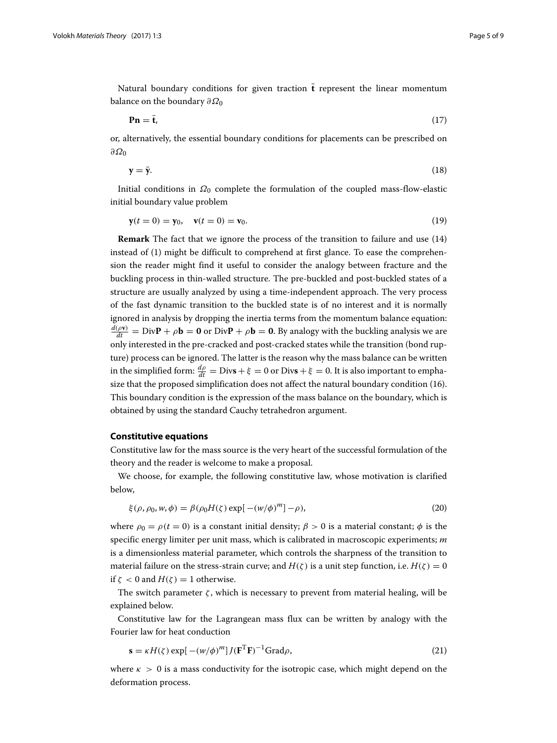Natural boundary conditions for given traction  $\bar{t}$  represent the linear momentum balance on the boundary  $\partial \Omega_0$ 

$$
\mathbf{Pn} = \bar{\mathbf{t}},\tag{17}
$$

or, alternatively, the essential boundary conditions for placements can be prescribed on  $\partial Ω_0$ 

$$
y = \bar{y}.\tag{18}
$$

Initial conditions in  $\Omega_0$  complete the formulation of the coupled mass-flow-elastic initial boundary value problem

$$
\mathbf{y}(t=0) = \mathbf{y}_0, \quad \mathbf{v}(t=0) = \mathbf{v}_0. \tag{19}
$$

**Remark** The fact that we ignore the process of the transition to failure and use [\(14\)](#page-3-3) instead of [\(1\)](#page-2-2) might be difficult to comprehend at first glance. To ease the comprehension the reader might find it useful to consider the analogy between fracture and the buckling process in thin-walled structure. The pre-buckled and post-buckled states of a structure are usually analyzed by using a time-independent approach. The very process of the fast dynamic transition to the buckled state is of no interest and it is normally ignored in analysis by dropping the inertia terms from the momentum balance equation:  $\frac{d(\rho \mathbf{v})}{dt} = \text{Div} \mathbf{P} + \rho \mathbf{b} = \mathbf{0}$  or  $\text{Div} \mathbf{P} + \rho \mathbf{b} = \mathbf{0}$ . By analogy with the buckling analysis we are only interested in the pre-cracked and post-cracked states while the transition (bond rupture) process can be ignored. The latter is the reason why the mass balance can be written in the simplified form:  $\frac{d\rho}{dt}$  = Divs +  $\xi$  = 0 or Divs +  $\xi$  = 0. It is also important to emphasize that the proposed simplification does not affect the natural boundary condition [\(16\)](#page-3-4). This boundary condition is the expression of the mass balance on the boundary, which is obtained by using the standard Cauchy tetrahedron argument.

### **Constitutive equations**

Constitutive law for the mass source is the very heart of the successful formulation of the theory and the reader is welcome to make a proposal.

We choose, for example, the following constitutive law, whose motivation is clarified below,

<span id="page-4-1"></span>
$$
\xi(\rho, \rho_0, w, \phi) = \beta(\rho_0 H(\zeta) \exp[-(w/\phi)^m] - \rho), \tag{20}
$$

where  $\rho_0 = \rho(t = 0)$  is a constant initial density;  $\beta > 0$  is a material constant;  $\phi$  is the specific energy limiter per unit mass, which is calibrated in macroscopic experiments; *m* is a dimensionless material parameter, which controls the sharpness of the transition to material failure on the stress-strain curve; and  $H(\zeta)$  is a unit step function, i.e.  $H(\zeta) = 0$ if  $\zeta < 0$  and  $H(\zeta) = 1$  otherwise.

The switch parameter  $\zeta$ , which is necessary to prevent from material healing, will be explained below.

Constitutive law for the Lagrangean mass flux can be written by analogy with the Fourier law for heat conduction

<span id="page-4-0"></span>
$$
\mathbf{s} = \kappa H(\zeta) \exp[-(w/\phi)^m] J(\mathbf{F}^{\mathrm{T}} \mathbf{F})^{-1} \text{Grad}\rho,
$$
\n(21)

where  $\kappa > 0$  is a mass conductivity for the isotropic case, which might depend on the deformation process.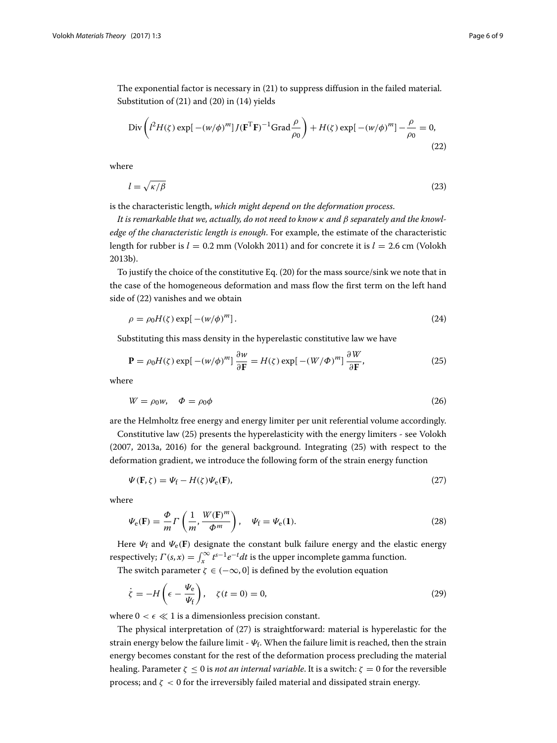The exponential factor is necessary in [\(21\)](#page-4-0) to suppress diffusion in the failed material. Substitution of [\(21\)](#page-4-0) and [\(20\)](#page-4-1) in [\(14\)](#page-3-3) yields

<span id="page-5-0"></span>
$$
\text{Div}\left(l^2H(\zeta)\exp[-(w/\phi)^m]J(\mathbf{F}^{\text{T}}\mathbf{F})^{-1}\text{Grad}\frac{\rho}{\rho_0}\right) + H(\zeta)\exp[-(w/\phi)^m] - \frac{\rho}{\rho_0} = 0,
$$
\n(22)

where

$$
l = \sqrt{\kappa/\beta} \tag{23}
$$

is the characteristic length, *which might depend on the deformation process*.

*It is remarkable that we, actually, do not need to know* κ *and* β *separately and the knowledge of the characteristic length is enough*. For example, the estimate of the characteristic length for rubber is  $l = 0.2$  mm (Volokh [2011\)](#page-8-12) and for concrete it is  $l = 2.6$  cm (Volokh [2013b\)](#page-8-13).

To justify the choice of the constitutive Eq. [\(20\)](#page-4-1) for the mass source/sink we note that in the case of the homogeneous deformation and mass flow the first term on the left hand side of [\(22\)](#page-5-0) vanishes and we obtain

<span id="page-5-1"></span>
$$
\rho = \rho_0 H(\zeta) \exp[-(w/\phi)^m].
$$
\n(24)

Substituting this mass density in the hyperelastic constitutive law we have

$$
\mathbf{P} = \rho_0 H(\zeta) \exp[-(w/\phi)^m] \frac{\partial w}{\partial \mathbf{F}} = H(\zeta) \exp[-(W/\phi)^m] \frac{\partial W}{\partial \mathbf{F}},
$$
\n(25)

where

$$
W = \rho_0 w, \quad \Phi = \rho_0 \phi \tag{26}
$$

are the Helmholtz free energy and energy limiter per unit referential volume accordingly.

Constitutive law [\(25\)](#page-5-1) presents the hyperelasticity with the energy limiters - see Volokh [\(2007,](#page-8-6) [2013a,](#page-8-11) [2016\)](#page-8-14) for the general background. Integrating [\(25\)](#page-5-1) with respect to the deformation gradient, we introduce the following form of the strain energy function

<span id="page-5-2"></span>
$$
\Psi(\mathbf{F}, \zeta) = \Psi_{\mathbf{f}} - H(\zeta)\Psi_{\mathbf{e}}(\mathbf{F}),\tag{27}
$$

where

$$
\Psi_{\mathbf{e}}(\mathbf{F}) = \frac{\Phi}{m} \Gamma\left(\frac{1}{m}, \frac{W(\mathbf{F})^m}{\Phi^m}\right), \quad \Psi_{\mathbf{f}} = \Psi_{\mathbf{e}}(\mathbf{1}). \tag{28}
$$

Here  $\Psi_f$  and  $\Psi_e$ (**F**) designate the constant bulk failure energy and the elastic energy respectively;  $\Gamma(s, x) = \int_x^{\infty} t^{s-1} e^{-t} dt$  is the upper incomplete gamma function.

The switch parameter  $\zeta \in (-\infty, 0]$  is defined by the evolution equation

$$
\dot{\zeta} = -H\left(\epsilon - \frac{\Psi_e}{\Psi_f}\right), \quad \zeta(t=0) = 0,
$$
\n(29)

where  $0 < \epsilon \ll 1$  is a dimensionless precision constant.

The physical interpretation of [\(27\)](#page-5-2) is straightforward: material is hyperelastic for the strain energy below the failure limit -  $\Psi_f$ . When the failure limit is reached, then the strain energy becomes constant for the rest of the deformation process precluding the material healing. Parameter  $\zeta \leq 0$  is *not an internal variable*. It is a switch:  $\zeta = 0$  for the reversible process; and  $\zeta < 0$  for the irreversibly failed material and dissipated strain energy.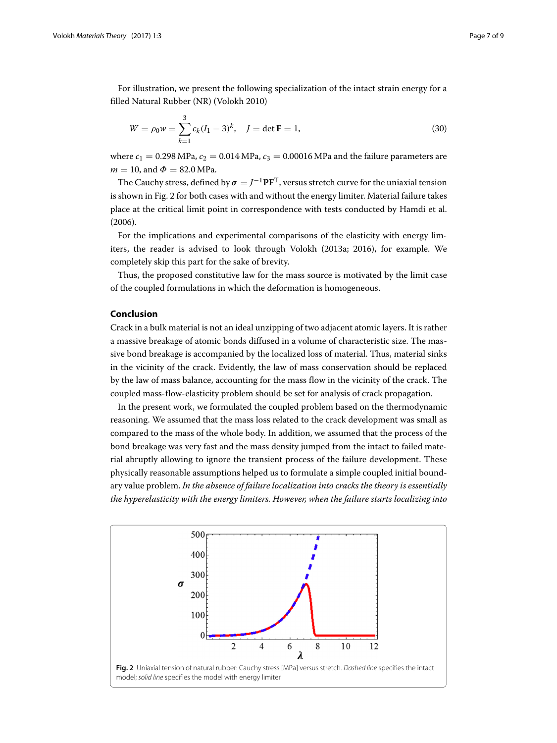For illustration, we present the following specialization of the intact strain energy for a filled Natural Rubber (NR) (Volokh [2010\)](#page-8-15)

$$
W = \rho_0 w = \sum_{k=1}^{3} c_k (I_1 - 3)^k, \quad J = \det \mathbf{F} = 1,
$$
\n(30)

where  $c_1 = 0.298$  MPa,  $c_2 = 0.014$  MPa,  $c_3 = 0.00016$  MPa and the failure parameters are  $m = 10$ , and  $\Phi = 82.0 \text{ MPa}$ .

The Cauchy stress, defined by  $\sigma = J^{-1}P F^{T}$ , versus stretch curve for the uniaxial tension is shown in Fig. [2](#page-6-0) for both cases with and without the energy limiter. Material failure takes place at the critical limit point in correspondence with tests conducted by Hamdi et al. [\(2006\)](#page-7-19).

For the implications and experimental comparisons of the elasticity with energy limiters, the reader is advised to look through Volokh [\(2013a;](#page-8-11) [2016\)](#page-8-14), for example. We completely skip this part for the sake of brevity.

Thus, the proposed constitutive law for the mass source is motivated by the limit case of the coupled formulations in which the deformation is homogeneous.

#### **Conclusion**

Crack in a bulk material is not an ideal unzipping of two adjacent atomic layers. It is rather a massive breakage of atomic bonds diffused in a volume of characteristic size. The massive bond breakage is accompanied by the localized loss of material. Thus, material sinks in the vicinity of the crack. Evidently, the law of mass conservation should be replaced by the law of mass balance, accounting for the mass flow in the vicinity of the crack. The coupled mass-flow-elasticity problem should be set for analysis of crack propagation.

In the present work, we formulated the coupled problem based on the thermodynamic reasoning. We assumed that the mass loss related to the crack development was small as compared to the mass of the whole body. In addition, we assumed that the process of the bond breakage was very fast and the mass density jumped from the intact to failed material abruptly allowing to ignore the transient process of the failure development. These physically reasonable assumptions helped us to formulate a simple coupled initial boundary value problem. *In the absence of failure localization into cracks the theory is essentially the hyperelasticity with the energy limiters. However, when the failure starts localizing into*

<span id="page-6-0"></span>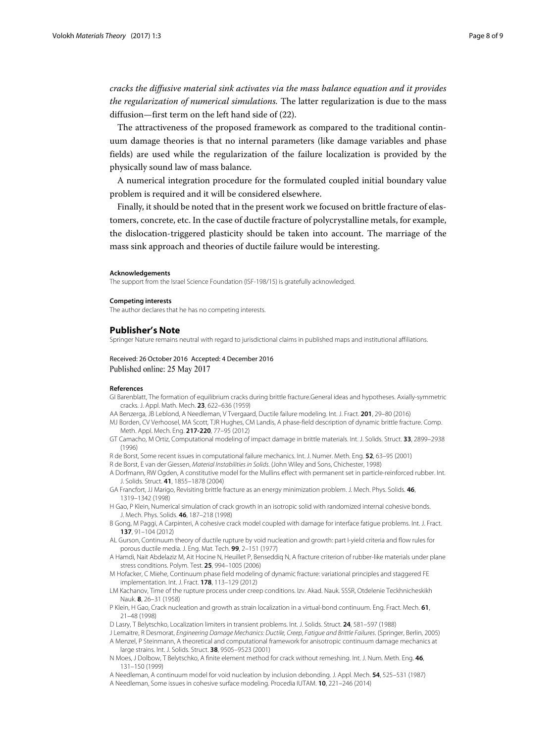*cracks the diffusive material sink activates via the mass balance equation and it provides the regularization of numerical simulations.* The latter regularization is due to the mass diffusion—first term on the left hand side of [\(22\)](#page-5-0).

The attractiveness of the proposed framework as compared to the traditional continuum damage theories is that no internal parameters (like damage variables and phase fields) are used while the regularization of the failure localization is provided by the physically sound law of mass balance.

A numerical integration procedure for the formulated coupled initial boundary value problem is required and it will be considered elsewhere.

Finally, it should be noted that in the present work we focused on brittle fracture of elastomers, concrete, etc. In the case of ductile fracture of polycrystalline metals, for example, the dislocation-triggered plasticity should be taken into account. The marriage of the mass sink approach and theories of ductile failure would be interesting.

#### **Acknowledgements**

The support from the Israel Science Foundation (ISF-198/15) is gratefully acknowledged.

#### **Competing interests**

The author declares that he has no competing interests.

#### **Publisher's Note**

Springer Nature remains neutral with regard to jurisdictional claims in published maps and institutional affiliations.

Received: 26 October 2016 Accepted: 4 December 2016 Published online: 25 May 2017

#### **References**

- <span id="page-7-0"></span>GI Barenblatt, The formation of equilibrium cracks during brittle fracture.General ideas and hypotheses. Axially-symmetric cracks. J. Appl. Math. Mech. **23**, 622–636 (1959)
- <span id="page-7-7"></span>AA Benzerga, JB Leblond, A Needleman, V Tvergaard, Ductile failure modeling. Int. J. Fract. **201**, 29–80 (2016)
- <span id="page-7-14"></span>MJ Borden, CV Verhoosel, MA Scott, TJR Hughes, CM Landis, A phase-field description of dynamic brittle fracture. Comp. Meth. Appl. Mech. Eng. **217-220**, 77–95 (2012)
- <span id="page-7-1"></span>GT Camacho, M Ortiz, Computational modeling of impact damage in brittle materials. Int. J. Solids. Struct. **33**, 2899–2938 (1996)
- <span id="page-7-2"></span>R de Borst, Some recent issues in computational failure mechanics. Int. J. Numer. Meth. Eng. **52**, 63–95 (2001)
- <span id="page-7-15"></span>R de Borst, E van der Giessen, Material Instabilities in Solids. (John Wiley and Sons, Chichester, 1998)
- <span id="page-7-8"></span>A Dorfmann, RW Ogden, A constitutive model for the Mullins effect with permanent set in particle-reinforced rubber. Int. J. Solids. Struct. **41**, 1855–1878 (2004)
- <span id="page-7-16"></span>GA Francfort, JJ Marigo, Revisiting brittle fracture as an energy minimization problem. J. Mech. Phys. Solids. **46**, 1319–1342 (1998)
- H Gao, P Klein, Numerical simulation of crack growth in an isotropic solid with randomized internal cohesive bonds. J. Mech. Phys. Solids. **46**, 187–218 (1998)
- <span id="page-7-3"></span>B Gong, M Paggi, A Carpinteri, A cohesive crack model coupled with damage for interface fatigue problems. Int. J. Fract. **137**, 91–104 (2012)
- <span id="page-7-9"></span>AL Gurson, Continuum theory of ductile rupture by void nucleation and growth: part I-yield criteria and flow rules for porous ductile media. J. Eng. Mat. Tech. **99**, 2–151 (1977)
- <span id="page-7-19"></span>A Hamdi, Nait Abdelaziz M, Ait Hocine N, Heuillet P, Benseddiq N, A fracture criterion of rubber-like materials under plane stress conditions. Polym. Test. **25**, 994–1005 (2006)
- <span id="page-7-17"></span>M Hofacker, C Miehe, Continuum phase field modeling of dynamic fracture: variational principles and staggered FE implementation. Int. J. Fract. **178**, 113–129 (2012)
- <span id="page-7-10"></span>LM Kachanov, Time of the rupture process under creep conditions. Izv. Akad. Nauk. SSSR, Otdelenie Teckhnicheskikh Nauk. **8**, 26–31 (1958)
- <span id="page-7-11"></span>P Klein, H Gao, Crack nucleation and growth as strain localization in a virtual-bond continuum. Eng. Fract. Mech. **61**, 21–48 (1998)
- <span id="page-7-18"></span>D Lasry, T Belytschko, Localization limiters in transient problems. Int. J. Solids. Struct. **24**, 581–597 (1988)
- <span id="page-7-13"></span><span id="page-7-12"></span>J Lemaitre, R Desmorat, Engineering Damage Mechanics: Ductile, Creep, Fatigue and Brittle Failures. (Springer, Berlin, 2005) A Menzel, P Steinmann, A theoretical and computational framework for anisotropic continuum damage mechanics at large strains. Int. J. Solids. Struct. **38**, 9505–9523 (2001)
- <span id="page-7-4"></span>N Moes, J Dolbow, T Belytschko, A finite element method for crack without remeshing. Int. J. Num. Meth. Eng. **46**, 131–150 (1999)

<span id="page-7-6"></span><span id="page-7-5"></span>A Needleman, A continuum model for void nucleation by inclusion debonding. J. Appl. Mech. **54**, 525–531 (1987) A Needleman, Some issues in cohesive surface modeling. Procedia IUTAM. **10**, 221–246 (2014)